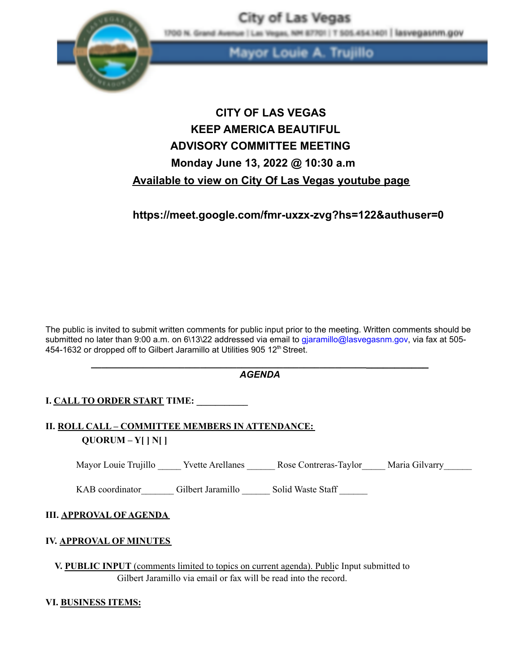

as Vegas, NH 87701 | T 505.454.1401 | lasvegasnm.gov 1700 N. Grand Avenue |

> A. Trujillo Louie

City of Las Vegas

# **CITY OF LAS VEGAS KEEP AMERICA BEAUTIFUL ADVISORY COMMITTEE MEETING Monday June 13, 2022 @ 10:30 a.m Available to view on City Of Las Vegas youtube page**

**https://meet.google.com/fmr-uxzx-zvg?hs=122&authuser=0**

The public is invited to submit written comments for public input prior to the meeting. Written comments should be submitted no later than 9:00 a.m. on 6\13\22 addressed via email to gjaramillo@lasvegasnm.gov, via fax at 505-454-1632 or dropped off to Gilbert Jaramillo at Utilities 905 12<sup>th</sup> Street.

| ACENMA<br>AGENDA |  |
|------------------|--|

**I. CALL TO ORDER START TIME: \_\_\_\_\_\_\_\_\_\_\_**

# **II. ROLL CALL – COMMITTEE MEMBERS IN ATTENDANCE: QUORUM – Y[ ] N[ ]**

Mayor Louie Trujillo Yvette Arellanes Rose Contreras-Taylor Maria Gilvarry

KAB coordinator Gilbert Jaramillo Solid Waste Staff

#### **III. APPROVAL OF AGENDA**

## **IV. APPROVAL OF MINUTES**

**V. PUBLIC INPUT** (comments limited to topics on current agenda). Public Input submitted to Gilbert Jaramillo via email or fax will be read into the record.

#### **VI. BUSINESS ITEMS:**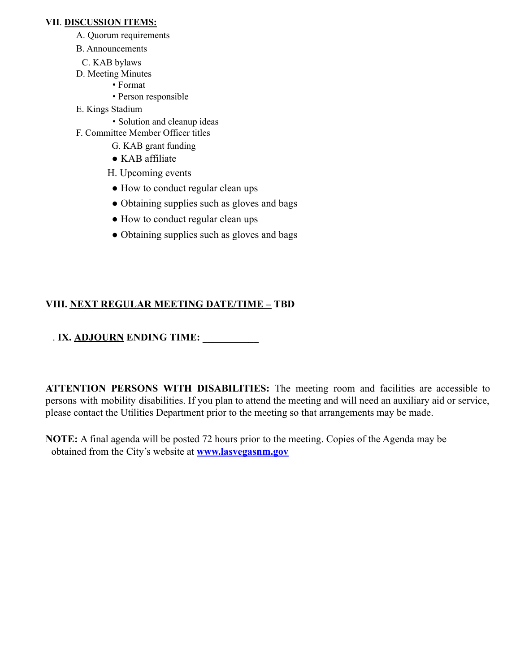#### **VII**. **DISCUSSION ITEMS:**

- A. Quorum requirements
- B. Announcements
- C. KAB bylaws
- D. Meeting Minutes
	- Format
	- Person responsible
- E. Kings Stadium
	- Solution and cleanup ideas
- F. Committee Member Officer titles
	- G. KAB grant funding
	- KAB affiliate
	- H. Upcoming events
	- How to conduct regular clean ups
	- Obtaining supplies such as gloves and bags
	- How to conduct regular clean ups
	- Obtaining supplies such as gloves and bags

# **VIII. NEXT REGULAR MEETING DATE/TIME – TBD**

# . **IX. ADJOURN ENDING TIME: \_\_\_\_\_\_\_\_\_\_\_**

**ATTENTION PERSONS WITH DISABILITIES:** The meeting room and facilities are accessible to persons with mobility disabilities. If you plan to attend the meeting and will need an auxiliary aid or service, please contact the Utilities Department prior to the meeting so that arrangements may be made.

**NOTE:** A final agenda will be posted 72 hours prior to the meeting. Copies of the Agenda may be obtained from the City's website at **www.lasvegasnm.gov**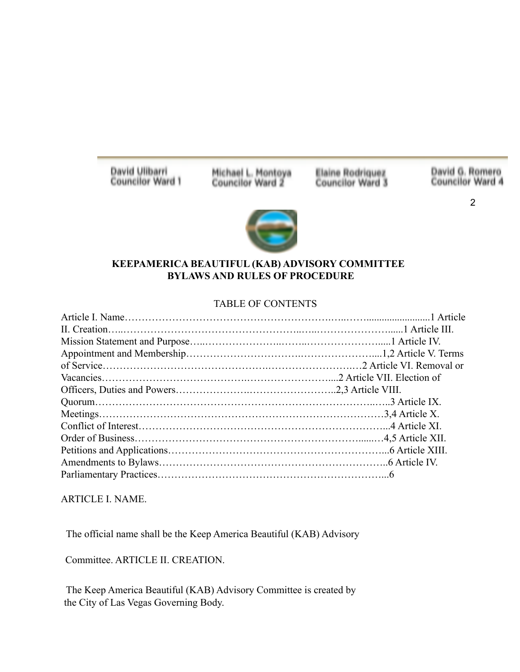David Ulibarri **Councilor Ward 1**  Michael L. Montoya<br>Councilor Ward 2

Elaine Rodriquez<br>Councilor Ward 3

David G. Romero<br>Councilor Ward 4

2



#### **KEEPAMERICA BEAUTIFUL (KAB) ADVISORY COMMITTEE BYLAWS AND RULES OF PROCEDURE**

### TABLE OF CONTENTS

ARTICLE I. NAME.

The official name shall be the Keep America Beautiful (KAB) Advisory

Committee. ARTICLE II. CREATION.

The Keep America Beautiful (KAB) Advisory Committee is created by the City of Las Vegas Governing Body.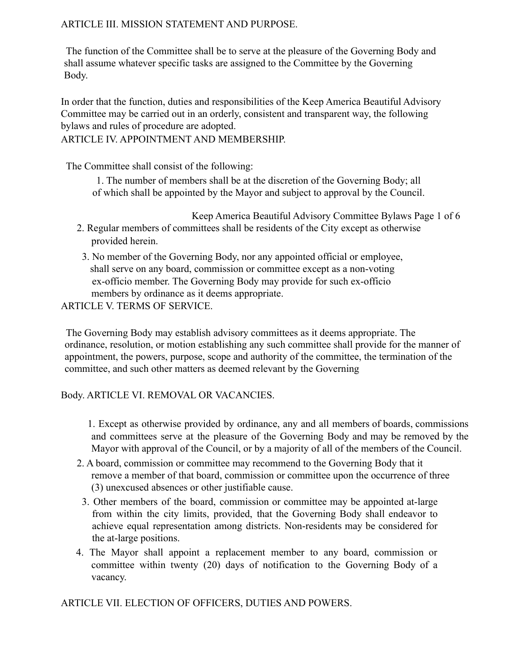## ARTICLE III. MISSION STATEMENT AND PURPOSE.

The function of the Committee shall be to serve at the pleasure of the Governing Body and shall assume whatever specific tasks are assigned to the Committee by the Governing Body.

In order that the function, duties and responsibilities of the Keep America Beautiful Advisory Committee may be carried out in an orderly, consistent and transparent way, the following bylaws and rules of procedure are adopted.

ARTICLE IV. APPOINTMENT AND MEMBERSHIP.

The Committee shall consist of the following:

1. The number of members shall be at the discretion of the Governing Body; all of which shall be appointed by the Mayor and subject to approval by the Council.

- Keep America Beautiful Advisory Committee Bylaws Page 1 of 6 2. Regular members of committees shall be residents of the City except as otherwise provided herein.
	- 3. No member of the Governing Body, nor any appointed official or employee, shall serve on any board, commission or committee except as a non-voting ex-officio member. The Governing Body may provide for such ex-officio members by ordinance as it deems appropriate.

ARTICLE V. TERMS OF SERVICE.

The Governing Body may establish advisory committees as it deems appropriate. The ordinance, resolution, or motion establishing any such committee shall provide for the manner of appointment, the powers, purpose, scope and authority of the committee, the termination of the committee, and such other matters as deemed relevant by the Governing

# Body. ARTICLE VI. REMOVAL OR VACANCIES.

1. Except as otherwise provided by ordinance, any and all members of boards, commissions and committees serve at the pleasure of the Governing Body and may be removed by the Mayor with approval of the Council, or by a majority of all of the members of the Council.

- 2. A board, commission or committee may recommend to the Governing Body that it remove a member of that board, commission or committee upon the occurrence of three (3) unexcused absences or other justifiable cause.
- 3. Other members of the board, commission or committee may be appointed at-large from within the city limits, provided, that the Governing Body shall endeavor to achieve equal representation among districts. Non-residents may be considered for the at-large positions.
- 4. The Mayor shall appoint a replacement member to any board, commission or committee within twenty (20) days of notification to the Governing Body of a vacancy.

ARTICLE VII. ELECTION OF OFFICERS, DUTIES AND POWERS.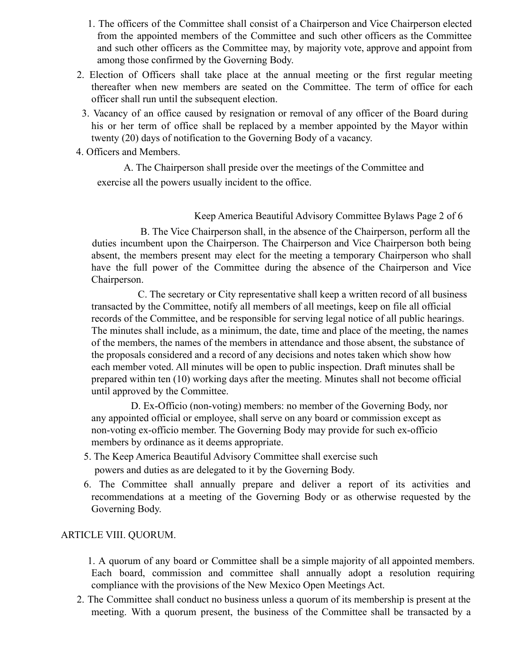- 1. The officers of the Committee shall consist of a Chairperson and Vice Chairperson elected from the appointed members of the Committee and such other officers as the Committee and such other officers as the Committee may, by majority vote, approve and appoint from among those confirmed by the Governing Body.
- 2. Election of Officers shall take place at the annual meeting or the first regular meeting thereafter when new members are seated on the Committee. The term of office for each officer shall run until the subsequent election.
- 3. Vacancy of an office caused by resignation or removal of any officer of the Board during his or her term of office shall be replaced by a member appointed by the Mayor within twenty (20) days of notification to the Governing Body of a vacancy.
- 4. Officers and Members.

A. The Chairperson shall preside over the meetings of the Committee and exercise all the powers usually incident to the office.

### Keep America Beautiful Advisory Committee Bylaws Page 2 of 6

B. The Vice Chairperson shall, in the absence of the Chairperson, perform all the duties incumbent upon the Chairperson. The Chairperson and Vice Chairperson both being absent, the members present may elect for the meeting a temporary Chairperson who shall have the full power of the Committee during the absence of the Chairperson and Vice Chairperson.

C. The secretary or City representative shall keep a written record of all business transacted by the Committee, notify all members of all meetings, keep on file all official records of the Committee, and be responsible for serving legal notice of all public hearings. The minutes shall include, as a minimum, the date, time and place of the meeting, the names of the members, the names of the members in attendance and those absent, the substance of the proposals considered and a record of any decisions and notes taken which show how each member voted. All minutes will be open to public inspection. Draft minutes shall be prepared within ten (10) working days after the meeting. Minutes shall not become official until approved by the Committee.

D. Ex-Officio (non-voting) members: no member of the Governing Body, nor any appointed official or employee, shall serve on any board or commission except as non-voting ex-officio member. The Governing Body may provide for such ex-officio members by ordinance as it deems appropriate.

- 5. The Keep America Beautiful Advisory Committee shall exercise such powers and duties as are delegated to it by the Governing Body.
- 6. The Committee shall annually prepare and deliver a report of its activities and recommendations at a meeting of the Governing Body or as otherwise requested by the Governing Body.

## ARTICLE VIII. QUORUM.

1. A quorum of any board or Committee shall be a simple majority of all appointed members. Each board, commission and committee shall annually adopt a resolution requiring compliance with the provisions of the New Mexico Open Meetings Act.

2. The Committee shall conduct no business unless a quorum of its membership is present at the meeting. With a quorum present, the business of the Committee shall be transacted by a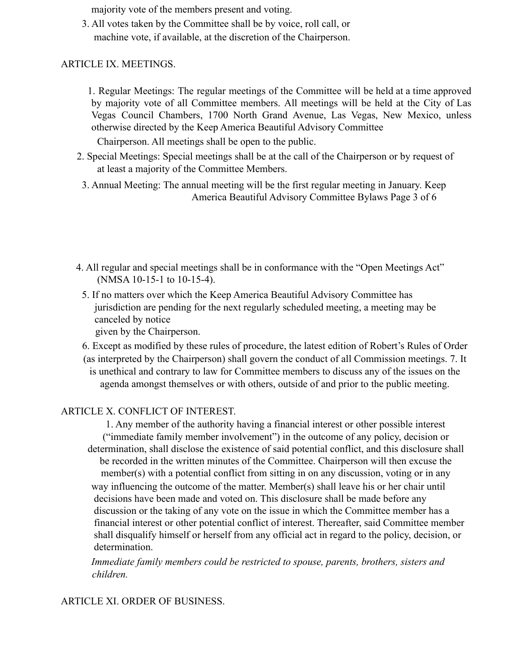majority vote of the members present and voting.

3. All votes taken by the Committee shall be by voice, roll call, or machine vote, if available, at the discretion of the Chairperson.

### ARTICLE IX. MEETINGS.

1. Regular Meetings: The regular meetings of the Committee will be held at a time approved by majority vote of all Committee members. All meetings will be held at the City of Las Vegas Council Chambers, 1700 North Grand Avenue, Las Vegas, New Mexico, unless otherwise directed by the Keep America Beautiful Advisory Committee

Chairperson. All meetings shall be open to the public.

- 2. Special Meetings: Special meetings shall be at the call of the Chairperson or by request of at least a majority of the Committee Members.
- 3. Annual Meeting: The annual meeting will be the first regular meeting in January. Keep America Beautiful Advisory Committee Bylaws Page 3 of 6
- 4. All regular and special meetings shall be in conformance with the "Open Meetings Act" (NMSA 10-15-1 to 10-15-4).
	- 5. If no matters over which the Keep America Beautiful Advisory Committee has jurisdiction are pending for the next regularly scheduled meeting, a meeting may be canceled by notice

given by the Chairperson.

6. Except as modified by these rules of procedure, the latest edition of Robert's Rules of Order (as interpreted by the Chairperson) shall govern the conduct of all Commission meetings. 7. It is unethical and contrary to law for Committee members to discuss any of the issues on the agenda amongst themselves or with others, outside of and prior to the public meeting.

## ARTICLE X. CONFLICT OF INTEREST.

1. Any member of the authority having a financial interest or other possible interest ("immediate family member involvement") in the outcome of any policy, decision or determination, shall disclose the existence of said potential conflict, and this disclosure shall be recorded in the written minutes of the Committee. Chairperson will then excuse the member(s) with a potential conflict from sitting in on any discussion, voting or in any way influencing the outcome of the matter. Member(s) shall leave his or her chair until decisions have been made and voted on. This disclosure shall be made before any discussion or the taking of any vote on the issue in which the Committee member has a financial interest or other potential conflict of interest. Thereafter, said Committee member shall disqualify himself or herself from any official act in regard to the policy, decision, or determination.

*Immediate family members could be restricted to spouse, parents, brothers, sisters and children.*

#### ARTICLE XI. ORDER OF BUSINESS.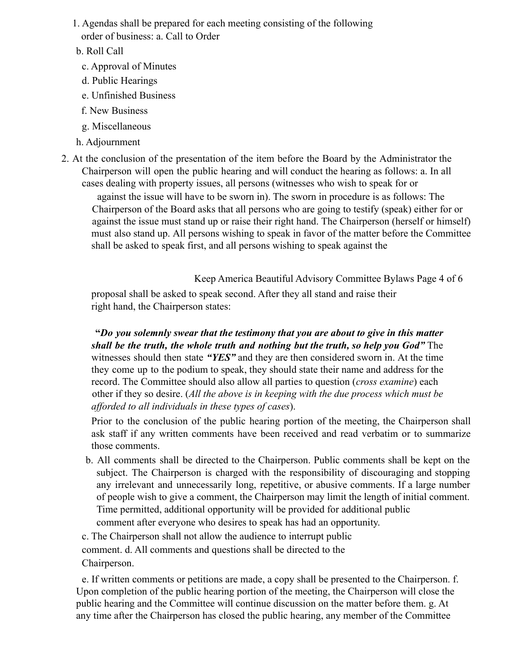- 1. Agendas shall be prepared for each meeting consisting of the following order of business: a. Call to Order
- b. Roll Call
	- c. Approval of Minutes
	- d. Public Hearings
	- e. Unfinished Business
	- f. New Business
	- g. Miscellaneous
- h. Adjournment
- 2. At the conclusion of the presentation of the item before the Board by the Administrator the Chairperson will open the public hearing and will conduct the hearing as follows: a. In all cases dealing with property issues, all persons (witnesses who wish to speak for or

against the issue will have to be sworn in). The sworn in procedure is as follows: The Chairperson of the Board asks that all persons who are going to testify (speak) either for or against the issue must stand up or raise their right hand. The Chairperson (herself or himself) must also stand up. All persons wishing to speak in favor of the matter before the Committee shall be asked to speak first, and all persons wishing to speak against the

Keep America Beautiful Advisory Committee Bylaws Page 4 of 6

proposal shall be asked to speak second. After they all stand and raise their right hand, the Chairperson states:

**"***Do you solemnly swear that the testimony that you are about to give in this matter shall be the truth, the whole truth and nothing but the truth, so help you God"* The witnesses should then state *"YES"* and they are then considered sworn in. At the time they come up to the podium to speak, they should state their name and address for the record. The Committee should also allow all parties to question (*cross examine*) each other if they so desire. (*All the above is in keeping with the due process which must be afforded to all individuals in these types of cases*).

Prior to the conclusion of the public hearing portion of the meeting, the Chairperson shall ask staff if any written comments have been received and read verbatim or to summarize those comments.

b. All comments shall be directed to the Chairperson. Public comments shall be kept on the subject. The Chairperson is charged with the responsibility of discouraging and stopping any irrelevant and unnecessarily long, repetitive, or abusive comments. If a large number of people wish to give a comment, the Chairperson may limit the length of initial comment. Time permitted, additional opportunity will be provided for additional public comment after everyone who desires to speak has had an opportunity.

c. The Chairperson shall not allow the audience to interrupt public comment. d. All comments and questions shall be directed to the Chairperson.

e. If written comments or petitions are made, a copy shall be presented to the Chairperson. f. Upon completion of the public hearing portion of the meeting, the Chairperson will close the public hearing and the Committee will continue discussion on the matter before them. g. At any time after the Chairperson has closed the public hearing, any member of the Committee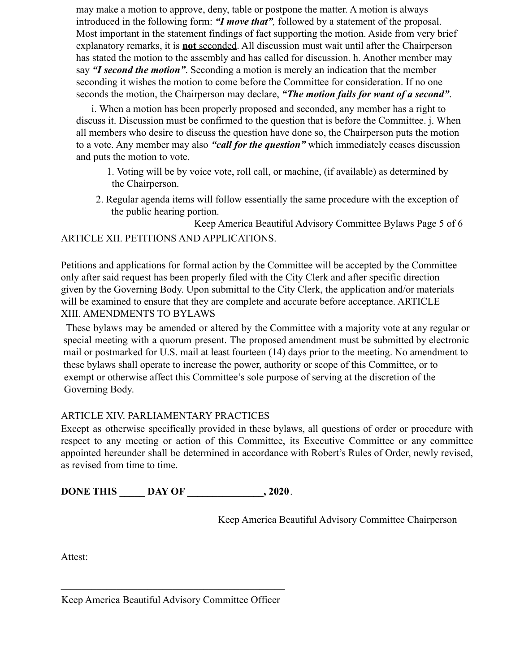may make a motion to approve, deny, table or postpone the matter. A motion is always introduced in the following form: *"I move that",* followed by a statement of the proposal. Most important in the statement findings of fact supporting the motion. Aside from very brief explanatory remarks, it is **not** seconded. All discussion must wait until after the Chairperson has stated the motion to the assembly and has called for discussion. h. Another member may say *"I second the motion"*. Seconding a motion is merely an indication that the member seconding it wishes the motion to come before the Committee for consideration. If no one seconds the motion, the Chairperson may declare, *"The motion fails for want of a second"*.

i. When a motion has been properly proposed and seconded, any member has a right to discuss it. Discussion must be confirmed to the question that is before the Committee. j. When all members who desire to discuss the question have done so, the Chairperson puts the motion to a vote. Any member may also *"call for the question"* which immediately ceases discussion and puts the motion to vote.

1. Voting will be by voice vote, roll call, or machine, (if available) as determined by the Chairperson.

2. Regular agenda items will follow essentially the same procedure with the exception of the public hearing portion.

Keep America Beautiful Advisory Committee Bylaws Page 5 of 6 ARTICLE XII. PETITIONS AND APPLICATIONS.

Petitions and applications for formal action by the Committee will be accepted by the Committee only after said request has been properly filed with the City Clerk and after specific direction given by the Governing Body. Upon submittal to the City Clerk, the application and/or materials will be examined to ensure that they are complete and accurate before acceptance. ARTICLE XIII. AMENDMENTS TO BYLAWS

These bylaws may be amended or altered by the Committee with a majority vote at any regular or special meeting with a quorum present. The proposed amendment must be submitted by electronic mail or postmarked for U.S. mail at least fourteen (14) days prior to the meeting. No amendment to these bylaws shall operate to increase the power, authority or scope of this Committee, or to exempt or otherwise affect this Committee's sole purpose of serving at the discretion of the Governing Body.

# ARTICLE XIV. PARLIAMENTARY PRACTICES

Except as otherwise specifically provided in these bylaws, all questions of order or procedure with respect to any meeting or action of this Committee, its Executive Committee or any committee appointed hereunder shall be determined in accordance with Robert's Rules of Order, newly revised, as revised from time to time.

**DONE THIS DAY OF** , 2020.

Keep America Beautiful Advisory Committee Chairperson

 $\mathcal{L}_\text{max}$  , and the contract of the contract of the contract of the contract of the contract of the contract of the contract of the contract of the contract of the contract of the contract of the contract of the contr

Attest:

 $\mathcal{L}_\text{max}$  , and the contract of the contract of the contract of the contract of the contract of the contract of the contract of the contract of the contract of the contract of the contract of the contract of the contr Keep America Beautiful Advisory Committee Officer